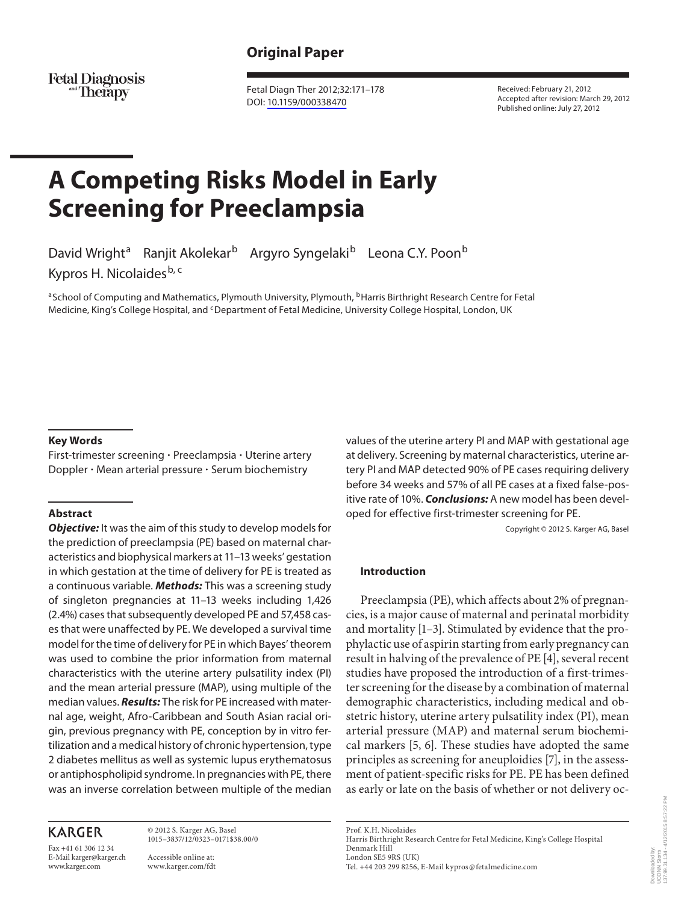# **Original Paper**

Fetal Diagnosis<br>Therapy

 Fetal Diagn Ther 2012;32:171–178 DOI: [10.1159/000338470](http://dx.doi.org/10.1159%2F000338470)

 Received: February 21, 2012 Accepted after revision: March 29, 2012 Published online: July 27, 2012

# **A Competing Risks Model in Early Screening for Preeclampsia**

David Wright<sup>a</sup> Ranjit Akolekar<sup>b</sup> Argyro Syngelaki<sup>b</sup> Leona C.Y. Poon<sup>b</sup> Kypros H. Nicolaides<sup>b, c</sup>

a School of Computing and Mathematics, Plymouth University, Plymouth, <sup>b</sup> Harris Birthright Research Centre for Fetal Medicine, King's College Hospital, and <sup>c</sup> Department of Fetal Medicine, University College Hospital, London, UK

#### **Key Words**

 First-trimester screening - Preeclampsia - Uterine artery Doppler · Mean arterial pressure · Serum biochemistry

#### **Abstract**

*Objective:* It was the aim of this study to develop models for the prediction of preeclampsia (PE) based on maternal characteristics and biophysical markers at 11–13 weeks' gestation in which gestation at the time of delivery for PE is treated as a continuous variable. *Methods:* This was a screening study of singleton pregnancies at 11–13 weeks including 1,426 (2.4%) cases that subsequently developed PE and 57,458 cases that were unaffected by PE. We developed a survival time model for the time of delivery for PE in which Bayes' theorem was used to combine the prior information from maternal characteristics with the uterine artery pulsatility index (PI) and the mean arterial pressure (MAP), using multiple of the median values. *Results:* The risk for PE increased with maternal age, weight, Afro-Caribbean and South Asian racial origin, previous pregnancy with PE, conception by in vitro fertilization and a medical history of chronic hypertension, type 2 diabetes mellitus as well as systemic lupus erythematosus or antiphospholipid syndrome. In pregnancies with PE, there was an inverse correlation between multiple of the median

## **KARGER**

Fax +41 61 306 12 34 E-Mail karger@karger.ch www.karger.com

 © 2012 S. Karger AG, Basel 1015–3837/12/0323–0171\$38.00/0

 Accessible online at: www.karger.com/fdt values of the uterine artery PI and MAP with gestational age at delivery. Screening by maternal characteristics, uterine artery PI and MAP detected 90% of PE cases requiring delivery before 34 weeks and 57% of all PE cases at a fixed false-positive rate of 10%. *Conclusions:* A new model has been developed for effective first-trimester screening for PE.

Copyright © 2012 S. Karger AG, Basel

#### **Introduction**

 Preeclampsia (PE), which affects about 2% of pregnancies, is a major cause of maternal and perinatal morbidity and mortality [1-3]. Stimulated by evidence that the prophylactic use of aspirin starting from early pregnancy can result in halving of the prevalence of PE [4] , several recent studies have proposed the introduction of a first-trimester screening for the disease by a combination of maternal demographic characteristics, including medical and obstetric history, uterine artery pulsatility index (PI), mean arterial pressure (MAP) and maternal serum biochemical markers [5, 6]. These studies have adopted the same principles as screening for aneuploidies [7], in the assessment of patient-specific risks for PE. PE has been defined as early or late on the basis of whether or not delivery oc-

 Prof. K.H. Nicolaides Harris Birthright Research Centre for Fetal Medicine, King's College Hospital Denmark Hill London SE5 9RS (UK) Tel. +44 203 299 8256, E-Mail kypros @ fetalmedicine.com

Downloaded by: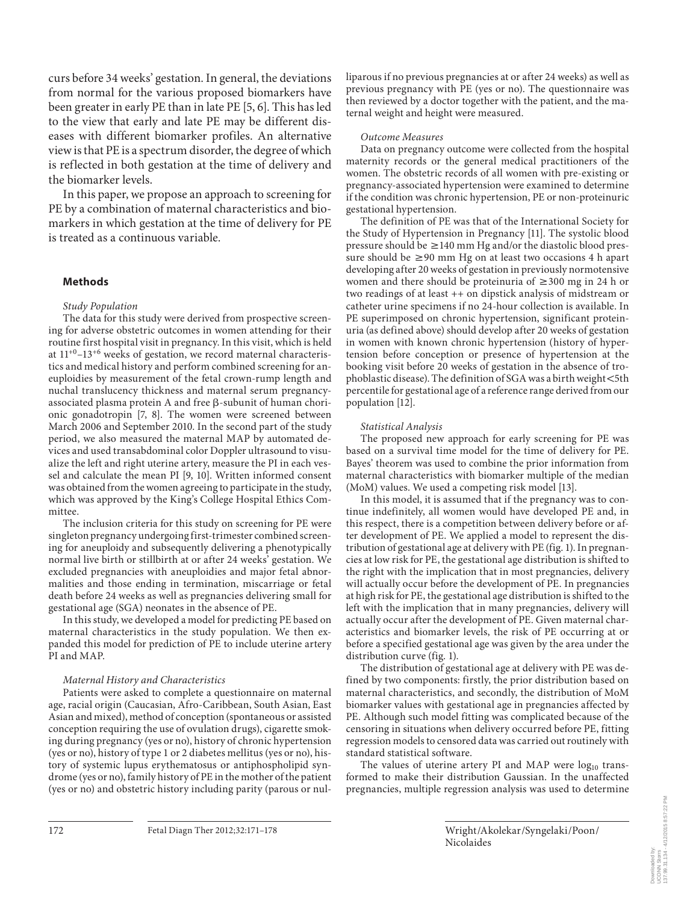curs before 34 weeks' gestation. In general, the deviations from normal for the various proposed biomarkers have been greater in early PE than in late PE [5, 6]. This has led to the view that early and late PE may be different diseases with different biomarker profiles. An alternative view is that PE is a spectrum disorder, the degree of which is reflected in both gestation at the time of delivery and the biomarker levels.

 In this paper, we propose an approach to screening for PE by a combination of maternal characteristics and biomarkers in which gestation at the time of delivery for PE is treated as a continuous variable.

#### **Methods**

#### *Study Population*

 The data for this study were derived from prospective screening for adverse obstetric outcomes in women attending for their routine first hospital visit in pregnancy. In this visit, which is held at  $11^{+0}$ –13<sup>+6</sup> weeks of gestation, we record maternal characteristics and medical history and perform combined screening for aneuploidies by measurement of the fetal crown-rump length and nuchal translucency thickness and maternal serum pregnancyassociated plasma protein A and free  $\beta$ -subunit of human chorionic gonadotropin [7, 8]. The women were screened between March 2006 and September 2010. In the second part of the study period, we also measured the maternal MAP by automated devices and used transabdominal color Doppler ultrasound to visualize the left and right uterine artery, measure the PI in each vessel and calculate the mean PI [9, 10]. Written informed consent was obtained from the women agreeing to participate in the study, which was approved by the King's College Hospital Ethics Committee.

 The inclusion criteria for this study on screening for PE were singleton pregnancy undergoing first-trimester combined screening for aneuploidy and subsequently delivering a phenotypically normal live birth or stillbirth at or after 24 weeks' gestation. We excluded pregnancies with aneuploidies and major fetal abnormalities and those ending in termination, miscarriage or fetal death before 24 weeks as well as pregnancies delivering small for gestational age (SGA) neonates in the absence of PE.

 In this study, we developed a model for predicting PE based on maternal characteristics in the study population. We then expanded this model for prediction of PE to include uterine artery PI and MAP.

#### *Maternal History and Characteristics*

 Patients were asked to complete a questionnaire on maternal age, racial origin (Caucasian, Afro-Caribbean, South Asian, East Asian and mixed), method of conception (spontaneous or assisted conception requiring the use of ovulation drugs), cigarette smoking during pregnancy (yes or no), history of chronic hypertension (yes or no), history of type 1 or 2 diabetes mellitus (yes or no), history of systemic lupus erythematosus or antiphospholipid syndrome (yes or no), family history of PE in the mother of the patient (yes or no) and obstetric history including parity (parous or nulliparous if no previous pregnancies at or after 24 weeks) as well as previous pregnancy with PE (yes or no). The questionnaire was then reviewed by a doctor together with the patient, and the maternal weight and height were measured.

#### *Outcome Measures*

 Data on pregnancy outcome were collected from the hospital maternity records or the general medical practitioners of the women. The obstetric records of all women with pre-existing or pregnancy-associated hypertension were examined to determine if the condition was chronic hypertension, PE or non-proteinuric gestational hypertension.

 The definition of PE was that of the International Society for the Study of Hypertension in Pregnancy [11] . The systolic blood pressure should be  $\geq$  140 mm Hg and/or the diastolic blood pressure should be  $\geq 90$  mm Hg on at least two occasions 4 h apart developing after 20 weeks of gestation in previously normotensive women and there should be proteinuria of  $\geq 300$  mg in 24 h or two readings of at least ++ on dipstick analysis of midstream or catheter urine specimens if no 24-hour collection is available. In PE superimposed on chronic hypertension, significant proteinuria (as defined above) should develop after 20 weeks of gestation in women with known chronic hypertension (history of hypertension before conception or presence of hypertension at the booking visit before 20 weeks of gestation in the absence of trophoblastic disease). The definition of SGA was a birth weight  $<$ 5th percentile for gestational age of a reference range derived from our population [12].

#### *Statistical Analysis*

 The proposed new approach for early screening for PE was based on a survival time model for the time of delivery for PE. Bayes' theorem was used to combine the prior information from maternal characteristics with biomarker multiple of the median (MoM) values. We used a competing risk model [13].

 In this model, it is assumed that if the pregnancy was to continue indefinitely, all women would have developed PE and, in this respect, there is a competition between delivery before or after development of PE. We applied a model to represent the distribution of gestational age at delivery with PE (fig. 1). In pregnancies at low risk for PE, the gestational age distribution is shifted to the right with the implication that in most pregnancies, delivery will actually occur before the development of PE. In pregnancies at high risk for PE, the gestational age distribution is shifted to the left with the implication that in many pregnancies, delivery will actually occur after the development of PE. Given maternal characteristics and biomarker levels, the risk of PE occurring at or before a specified gestational age was given by the area under the distribution curve (fig. 1).

 The distribution of gestational age at delivery with PE was defined by two components: firstly, the prior distribution based on maternal characteristics, and secondly, the distribution of MoM biomarker values with gestational age in pregnancies affected by PE. Although such model fitting was complicated because of the censoring in situations when delivery occurred before PE, fitting regression models to censored data was carried out routinely with standard statistical software.

The values of uterine artery PI and MAP were  $log_{10}$  transformed to make their distribution Gaussian. In the unaffected pregnancies, multiple regression analysis was used to determine

Nicolaides

Wright /Akolekar /Syngelaki /Poon /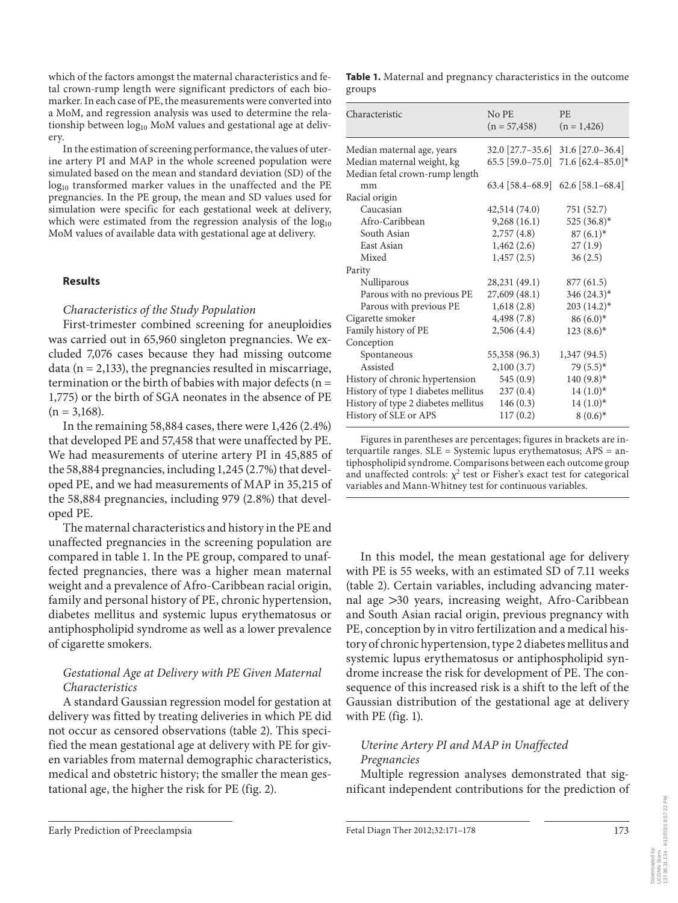which of the factors amongst the maternal characteristics and fetal crown-rump length were significant predictors of each biomarker. In each case of PE, the measurements were converted into a MoM, and regression analysis was used to determine the relationship between log<sub>10</sub> MoM values and gestational age at delivery.

 In the estimation of screening performance, the values of uterine artery PI and MAP in the whole screened population were simulated based on the mean and standard deviation (SD) of the log<sub>10</sub> transformed marker values in the unaffected and the PE pregnancies. In the PE group, the mean and SD values used for simulation were specific for each gestational week at delivery, which were estimated from the regression analysis of the  $log_{10}$ MoM values of available data with gestational age at delivery.

#### **Results**

#### *Characteristics of the Study Population*

 First-trimester combined screening for aneuploidies was carried out in 65,960 singleton pregnancies. We excluded 7,076 cases because they had missing outcome data ( $n = 2,133$ ), the pregnancies resulted in miscarriage, termination or the birth of babies with major defects ( $n =$ 1,775) or the birth of SGA neonates in the absence of PE  $(n = 3.168)$ .

 In the remaining 58,884 cases, there were 1,426 (2.4%) that developed PE and 57,458 that were unaffected by PE. We had measurements of uterine artery PI in 45,885 of the 58,884 pregnancies, including 1,245 (2.7%) that developed PE, and we had measurements of MAP in 35,215 of the 58,884 pregnancies, including 979 (2.8%) that developed PE.

 The maternal characteristics and history in the PE and unaffected pregnancies in the screening population are compared in table 1. In the PE group, compared to unaffected pregnancies, there was a higher mean maternal weight and a prevalence of Afro-Caribbean racial origin, family and personal history of PE, chronic hypertension, diabetes mellitus and systemic lupus erythematosus or antiphospholipid syndrome as well as a lower prevalence of cigarette smokers.

## *Gestational Age at Delivery with PE Given Maternal Characteristics*

 A standard Gaussian regression model for gestation at delivery was fitted by treating deliveries in which PE did not occur as censored observations (table 2). This specified the mean gestational age at delivery with PE for given variables from maternal demographic characteristics, medical and obstetric history; the smaller the mean gestational age, the higher the risk for PE (fig. 2).

| Table 1. Maternal and pregnancy characteristics in the outcome |  |  |
|----------------------------------------------------------------|--|--|
| groups                                                         |  |  |

| Characteristic                      | No PE<br>$(n = 57,458)$             | <b>PE</b><br>$(n = 1,426)$            |
|-------------------------------------|-------------------------------------|---------------------------------------|
| Median maternal age, years          |                                     | $32.0$ [27.7–35.6] $31.6$ [27.0–36.4] |
| Median maternal weight, kg          | $65.5$ [59.0-75.0]                  | 71.6 $[62.4 - 85.0]$ *                |
| Median fetal crown-rump length      |                                     |                                       |
| mm                                  | $63.4$ [58.4-68.9] 62.6 [58.1-68.4] |                                       |
| Racial origin                       |                                     |                                       |
| Caucasian                           | 42,514 (74.0)                       | 751 (52.7)                            |
| Afro-Caribbean                      | 9,268(16.1)                         | 525 $(36.8)^*$                        |
| South Asian                         | 2,757(4.8)                          | $87(6.1)^{*}$                         |
| East Asian                          | 1,462(2.6)                          | 27(1.9)                               |
| Mixed                               | 1,457(2.5)                          | 36(2.5)                               |
| Parity                              |                                     |                                       |
| Nulliparous                         | 28,231 (49.1)                       | 877 (61.5)                            |
| Parous with no previous PE          | 27,609(48.1)                        | 346 (24.3)*                           |
| Parous with previous PE             | 1,618(2.8)                          | $203(14.2)^*$                         |
| Cigarette smoker                    | 4,498 (7.8)                         | $86(6.0)^*$                           |
| Family history of PE                | 2,506(4.4)                          | $123(8.6)$ *                          |
| Conception                          |                                     |                                       |
| Spontaneous                         | 55,358 (96.3)                       | 1,347 (94.5)                          |
| Assisted                            | 2,100(3.7)                          | $79(5.5)$ *                           |
| History of chronic hypertension     | 545 (0.9)                           | $140(9.8)$ *                          |
| History of type 1 diabetes mellitus | 237(0.4)                            | $14(1.0)^{*}$                         |
| History of type 2 diabetes mellitus | 146(0.3)                            | $14(1.0)^{*}$                         |
| History of SLE or APS               | 117(0.2)                            | $8(0.6)^{*}$                          |

Figures in parentheses are percentages; figures in brackets are interquartile ranges. SLE = Systemic lupus erythematosus; APS = antiphospholipid syndrome. Comparisons between each outcome group and unaffected controls:  $\chi^2$  test or Fisher's exact test for categorical variables and Mann-Whitney test for continuous variables.

 In this model, the mean gestational age for delivery with PE is 55 weeks, with an estimated SD of 7.11 weeks (table 2). Certain variables, including advancing maternal age  $>30$  years, increasing weight, Afro-Caribbean and South Asian racial origin, previous pregnancy with PE, conception by in vitro fertilization and a medical history of chronic hypertension, type 2 diabetes mellitus and systemic lupus erythematosus or antiphospholipid syndrome increase the risk for development of PE. The consequence of this increased risk is a shift to the left of the Gaussian distribution of the gestational age at delivery with  $PE$  (fig. 1).

## *Uterine Artery PI and MAP in Unaffected Pregnancies*

 Multiple regression analyses demonstrated that significant independent contributions for the prediction of

Downloaded by: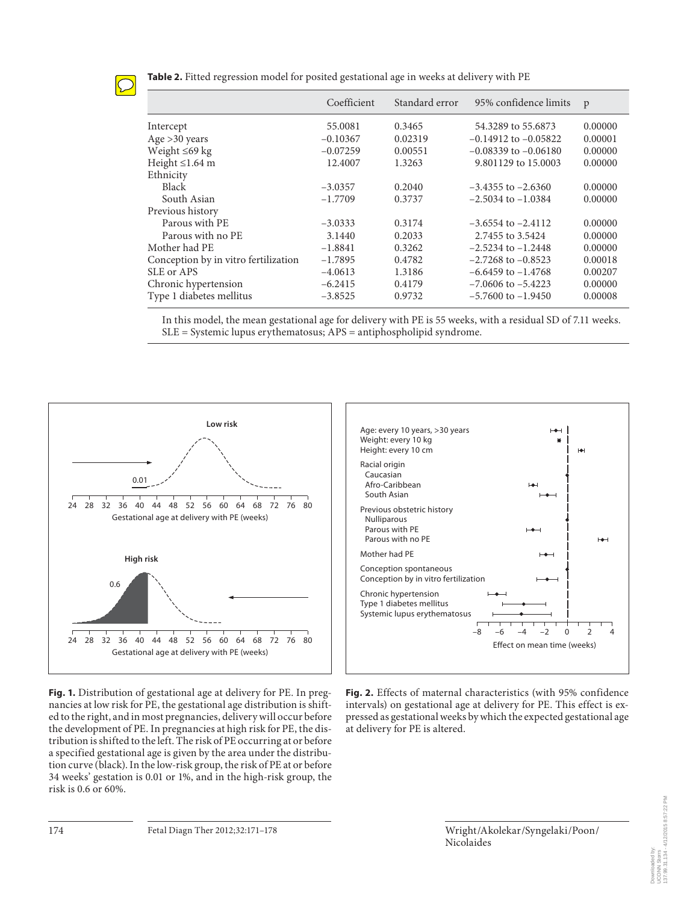

**Table 2.** Fitted regression model for posited gestational age in weeks at delivery with PE

|                                      | Coefficient | Standard error | 95% confidence limits    | p       |
|--------------------------------------|-------------|----------------|--------------------------|---------|
| Intercept                            | 55.0081     | 0.3465         | 54.3289 to 55.6873       | 0.00000 |
| Age $>30$ years                      | $-0.10367$  | 0.02319        | $-0.14912$ to $-0.05822$ | 0.00001 |
| Weight $\leq 69$ kg                  | $-0.07259$  | 0.00551        | $-0.08339$ to $-0.06180$ | 0.00000 |
| Height $\leq$ 1.64 m                 | 12.4007     | 1.3263         | 9.801129 to 15.0003      | 0.00000 |
| Ethnicity                            |             |                |                          |         |
| <b>Black</b>                         | $-3.0357$   | 0.2040         | $-3.4355$ to $-2.6360$   | 0.00000 |
| South Asian                          | $-1.7709$   | 0.3737         | $-2.5034$ to $-1.0384$   | 0.00000 |
| Previous history                     |             |                |                          |         |
| Parous with PE                       | $-3.0333$   | 0.3174         | $-3.6554$ to $-2.4112$   | 0.00000 |
| Parous with no PE                    | 3.1440      | 0.2033         | 2.7455 to 3.5424         | 0.00000 |
| Mother had PE                        | $-1.8841$   | 0.3262         | $-2.5234$ to $-1.2448$   | 0.00000 |
| Conception by in vitro fertilization | $-1.7895$   | 0.4782         | $-2.7268$ to $-0.8523$   | 0.00018 |
| SLE or APS                           | $-4.0613$   | 1.3186         | $-6.6459$ to $-1.4768$   | 0.00207 |
| Chronic hypertension                 | $-6.2415$   | 0.4179         | $-7.0606$ to $-5.4223$   | 0.00000 |
| Type 1 diabetes mellitus             | $-3.8525$   | 0.9732         | $-5.7600$ to $-1.9450$   | 0.00008 |

In this model, the mean gestational age for delivery with PE is 55 weeks, with a residual SD of 7.11 weeks. SLE = Systemic lupus erythematosus; APS = antiphospholipid syndrome.



**Fig. 1.** Distribution of gestational age at delivery for PE. In pregnancies at low risk for PE, the gestational age distribution is shifted to the right, and in most pregnancies, delivery will occur before the development of PE. In pregnancies at high risk for PE, the distribution is shifted to the left. The risk of PE occurring at or before a specified gestational age is given by the area under the distribution curve (black). In the low-risk group, the risk of PE at or before 34 weeks' gestation is 0.01 or 1%, and in the high-risk group, the risk is 0.6 or 60%.



**Fig. 2.** Effects of maternal characteristics (with 95% confidence intervals) on gestational age at delivery for PE. This effect is expressed as gestational weeks by which the expected gestational age at delivery for PE is altered.

Nicolaides

Wright /Akolekar /Syngelaki /Poon /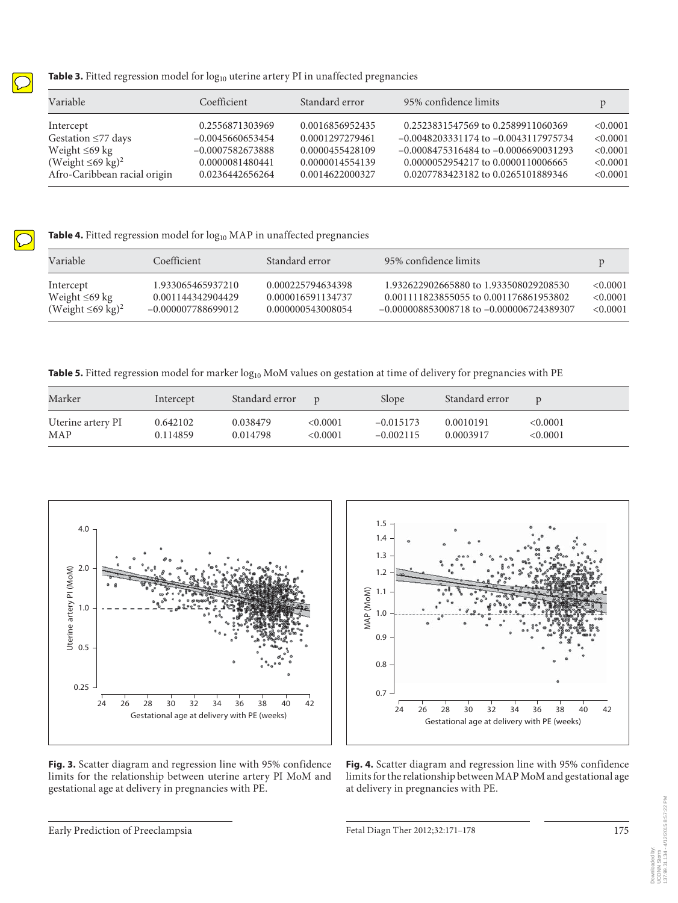

### Table 3. Fitted regression model for log<sub>10</sub> uterine artery PI in unaffected pregnancies

| Variable                           | Coefficient        | Standard error  | 95% confidence limits                    |          |
|------------------------------------|--------------------|-----------------|------------------------------------------|----------|
| Intercept                          | 0.2556871303969    | 0.0016856952435 | 0.2523831547569 to 0.2589911060369       | < 0.0001 |
| Gestation $\leq 77$ days           | $-0.0045660653454$ | 0.0001297279461 | $-0.0048203331174$ to $-0.0043117975734$ | < 0.0001 |
| Weight $\leq 69$ kg                | $-0.0007582673888$ | 0.0000455428109 | $-0.0008475316484$ to $-0.0006690031293$ | < 0.0001 |
| (Weight $\leq 69$ kg) <sup>2</sup> | 0.0000081480441    | 0.0000014554139 | 0.0000052954217 to 0.0000110006665       | < 0.0001 |
| Afro-Caribbean racial origin       | 0.0236442656264    | 0.0014622000327 | 0.0207783423182 to 0.0265101889346       | < 0.0001 |

Table 4. Fitted regression model for log<sub>10</sub> MAP in unaffected pregnancies

| Variable                           | Coefficient          | Standard error    | 95% confidence limits                        |          |
|------------------------------------|----------------------|-------------------|----------------------------------------------|----------|
| Intercept                          | 1.933065465937210    | 0.000225794634398 | 1.932622902665880 to 1.933508029208530       | <0.0001  |
| Weight $\leq 69$ kg                | 0.001144342904429    | 0.000016591134737 | 0.001111823855055 to 0.001176861953802       | < 0.0001 |
| (Weight $\leq 69$ kg) <sup>2</sup> | $-0.000007788699012$ | 0.000000543008054 | $-0.000008853008718$ to $-0.000006724389307$ | <0.0001  |

**Table 5.** Fitted regression model for marker  $log_{10}$  MoM values on gestation at time of delivery for pregnancies with PE

| Marker            | Intercept | Standard error |          | Slope       | Standard error |          |
|-------------------|-----------|----------------|----------|-------------|----------------|----------|
| Uterine artery PI | 0.642102  | 0.038479       | < 0.0001 | $-0.015173$ | 0.0010191      | < 0.0001 |
| MAP               | 0.114859  | 0.014798       | < 0.0001 | $-0.002115$ | 0.0003917      | <0.0001  |



**Fig. 3.** Scatter diagram and regression line with 95% confidence limits for the relationship between uterine artery PI MoM and gestational age at delivery in pregnancies with PE.



**Fig. 4.** Scatter diagram and regression line with 95% confidence limits for the relationship between MAP MoM and gestational age at delivery in pregnancies with PE.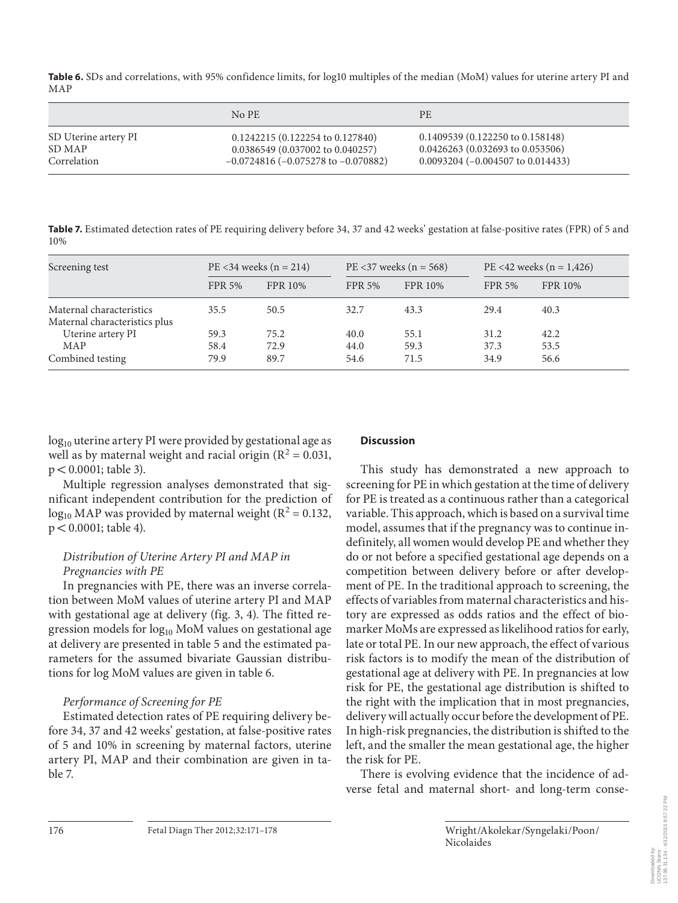**Table 6.** SDs and correlations, with 95% confidence limits, for log10 multiples of the median (MoM) values for uterine artery PI and MAP

|                      | $No$ PE                                     | <b>PE</b>                                    |
|----------------------|---------------------------------------------|----------------------------------------------|
| SD Uterine artery PI | $0.1242215(0.122254 \text{ to } 0.127840)$  | $0.1409539(0.122250 \text{ to } 0.158148)$   |
| SD MAP               | 0.0386549 (0.037002 to 0.040257)            | $0.0426263(0.032693 \text{ to } 0.053506)$   |
| Correlation          | $-0.0724816$ ( $-0.075278$ to $-0.070882$ ) | $0.0093204 (-0.004507 \text{ to } 0.014433)$ |

**Table 7.** Estimated detection rates of PE requiring delivery before 34, 37 and 42 weeks' gestation at false-positive rates (FPR) of 5 and 10%

| Screening test                                            | $PE < 34$ weeks (n = 214) |         | $PE < 37$ weeks (n = 568) |                | PE <42 weeks ( $n = 1,426$ ) |                |
|-----------------------------------------------------------|---------------------------|---------|---------------------------|----------------|------------------------------|----------------|
|                                                           | <b>FPR 5%</b>             | FPR 10% | <b>FPR 5%</b>             | <b>FPR 10%</b> | <b>FPR 5%</b>                | <b>FPR 10%</b> |
| Maternal characteristics<br>Maternal characteristics plus | 35.5                      | 50.5    | 32.7                      | 43.3           | 29.4                         | 40.3           |
| Uterine artery PI                                         | 59.3                      | 75.2    | 40.0                      | 55.1           | 31.2                         | 42.2           |
| MAP                                                       | 58.4                      | 72.9    | 44.0                      | 59.3           | 37.3                         | 53.5           |
| Combined testing                                          | 79.9                      | 89.7    | 54.6                      | 71.5           | 34.9                         | 56.6           |

 $log_{10}$  uterine artery PI were provided by gestational age as well as by maternal weight and racial origin ( $R^2 = 0.031$ ,  $p < 0.0001$ ; table 3).

 Multiple regression analyses demonstrated that significant independent contribution for the prediction of  $\log_{10}$  MAP was provided by maternal weight ( $R^2 = 0.132$ ,  $p < 0.0001$ ; table 4).

## *Distribution of Uterine Artery PI and MAP in Pregnancies with PE*

 In pregnancies with PE, there was an inverse correlation between MoM values of uterine artery PI and MAP with gestational age at delivery (fig. 3, 4). The fitted regression models for  $log_{10}$  MoM values on gestational age at delivery are presented in table 5 and the estimated parameters for the assumed bivariate Gaussian distributions for log MoM values are given in table 6.

## *Performance of Screening for PE*

 Estimated detection rates of PE requiring delivery before 34, 37 and 42 weeks' gestation, at false-positive rates of 5 and 10% in screening by maternal factors, uterine artery PI, MAP and their combination are given in table 7.

## **Discussion**

 This study has demonstrated a new approach to screening for PE in which gestation at the time of delivery for PE is treated as a continuous rather than a categorical variable. This approach, which is based on a survival time model, assumes that if the pregnancy was to continue indefinitely, all women would develop PE and whether they do or not before a specified gestational age depends on a competition between delivery before or after development of PE. In the traditional approach to screening, the effects of variables from maternal characteristics and history are expressed as odds ratios and the effect of biomarker MoMs are expressed as likelihood ratios for early, late or total PE. In our new approach, the effect of various risk factors is to modify the mean of the distribution of gestational age at delivery with PE. In pregnancies at low risk for PE, the gestational age distribution is shifted to the right with the implication that in most pregnancies, delivery will actually occur before the development of PE. In high-risk pregnancies, the distribution is shifted to the left, and the smaller the mean gestational age, the higher the risk for PE.

 There is evolving evidence that the incidence of adverse fetal and maternal short- and long-term conse-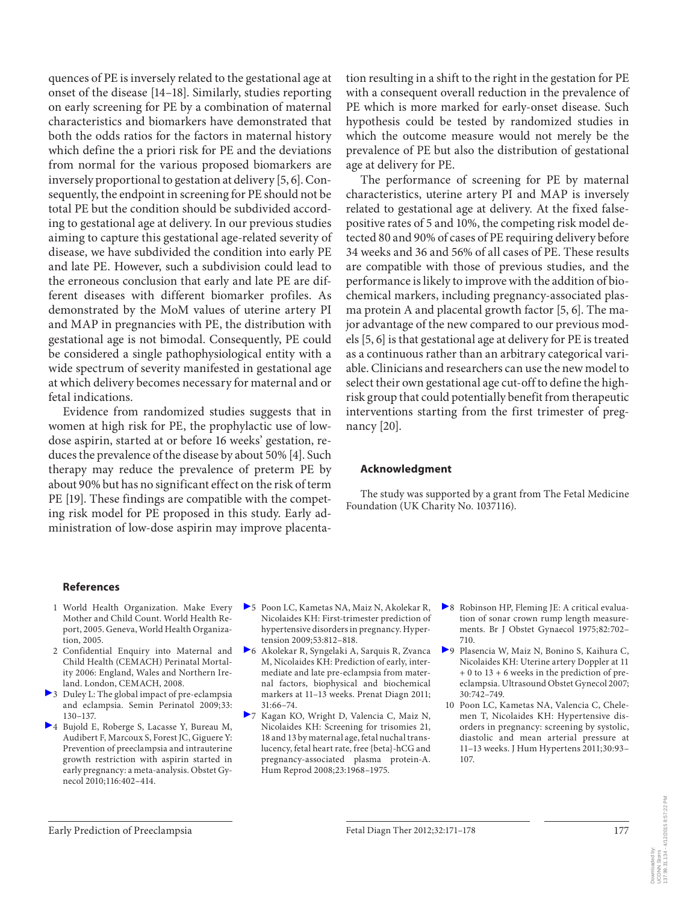quences of PE is inversely related to the gestational age at onset of the disease [14–18] . Similarly, studies reporting on early screening for PE by a combination of maternal characteristics and biomarkers have demonstrated that both the odds ratios for the factors in maternal history which define the a priori risk for PE and the deviations from normal for the various proposed biomarkers are inversely proportional to gestation at delivery [5, 6]. Consequently, the endpoint in screening for PE should not be total PE but the condition should be subdivided according to gestational age at delivery. In our previous studies aiming to capture this gestational age-related severity of disease, we have subdivided the condition into early PE and late PE. However, such a subdivision could lead to the erroneous conclusion that early and late PE are different diseases with different biomarker profiles. As demonstrated by the MoM values of uterine artery PI and MAP in pregnancies with PE, the distribution with gestational age is not bimodal. Consequently, PE could be considered a single pathophysiological entity with a wide spectrum of severity manifested in gestational age at which delivery becomes necessary for maternal and or fetal indications.

 Evidence from randomized studies suggests that in women at high risk for PE, the prophylactic use of lowdose aspirin, started at or before 16 weeks' gestation, reduces the prevalence of the disease by about 50% [4] . Such therapy may reduce the prevalence of preterm PE by about 90% but has no significant effect on the risk of term PE [19]. These findings are compatible with the competing risk model for PE proposed in this study. Early administration of low-dose aspirin may improve placentation resulting in a shift to the right in the gestation for PE with a consequent overall reduction in the prevalence of PE which is more marked for early-onset disease. Such hypothesis could be tested by randomized studies in which the outcome measure would not merely be the prevalence of PE but also the distribution of gestational age at delivery for PE.

 The performance of screening for PE by maternal characteristics, uterine artery PI and MAP is inversely related to gestational age at delivery. At the fixed falsepositive rates of 5 and 10%, the competing risk model detected 80 and 90% of cases of PE requiring delivery before 34 weeks and 36 and 56% of all cases of PE. These results are compatible with those of previous studies, and the performance is likely to improve with the addition of biochemical markers, including pregnancy-associated plasma protein A and placental growth factor  $[5, 6]$ . The major advantage of the new compared to our previous models [5, 6] is that gestational age at delivery for PE is treated as a continuous rather than an arbitrary categorical variable. Clinicians and researchers can use the new model to select their own gestational age cut-off to define the highrisk group that could potentially benefit from therapeutic interventions starting from the first trimester of pregnancy  $[20]$ .

#### **Acknowledgment**

 The study was supported by a grant from The Fetal Medicine Foundation (UK Charity No. 1037116).

#### **References**

- 1 World Health Organization. Make Every Mother and Child Count. World Health Report, 2005. Geneva, World Health Organization, 2005.
- 2 Confidential Enquiry into Maternal and Child Health (CEMACH) Perinatal Mortality 2006: England, Wales and Northern Ireland. London, CEMACH, 2008.
- 3 Duley L: The global impact of pre-eclampsia and eclampsia. Semin Perinatol 2009; 33: 130–137.
- 4 Bujold E, Roberge S, Lacasse Y, Bureau M, Audibert F, Marcoux S, Forest JC, Giguere Y: Prevention of preeclampsia and intrauterine growth restriction with aspirin started in early pregnancy: a meta-analysis. Obstet Gynecol 2010;116:402–414.
- 5 Poon LC, Kametas NA, Maiz N, Akolekar R, Nicolaides KH: First-trimester prediction of hypertensive disorders in pregnancy. Hypertension 2009;53:812–818.
- 6 Akolekar R, Syngelaki A, Sarquis R, Zvanca M, Nicolaides KH: Prediction of early, intermediate and late pre-eclampsia from maternal factors, biophysical and biochemical markers at 11–13 weeks. Prenat Diagn 2011; 31:66–74.
- 7 Kagan KO, Wright D, Valencia C, Maiz N, Nicolaides KH: Screening for trisomies 21, 18 and 13 by maternal age, fetal nuchal translucency, fetal heart rate, free {beta}-hCG and pregnancy-associated plasma protein-A. Hum Reprod 2008;23:1968–1975.
- 8 Robinson HP, Fleming JE: A critical evaluation of sonar crown rump length measurements. Br J Obstet Gynaecol 1975;82:702– 710.
- 9 Plasencia W, Maiz N, Bonino S, Kaihura C, Nicolaides KH: Uterine artery Doppler at 11 + 0 to 13 + 6 weeks in the prediction of preeclampsia. Ultrasound Obstet Gynecol 2007; 30:742–749.
- 10 Poon LC, Kametas NA, Valencia C, Chelemen T, Nicolaides KH: Hypertensive disorders in pregnancy: screening by systolic, diastolic and mean arterial pressure at 11–13 weeks. J Hum Hypertens 2011;30:93– 107.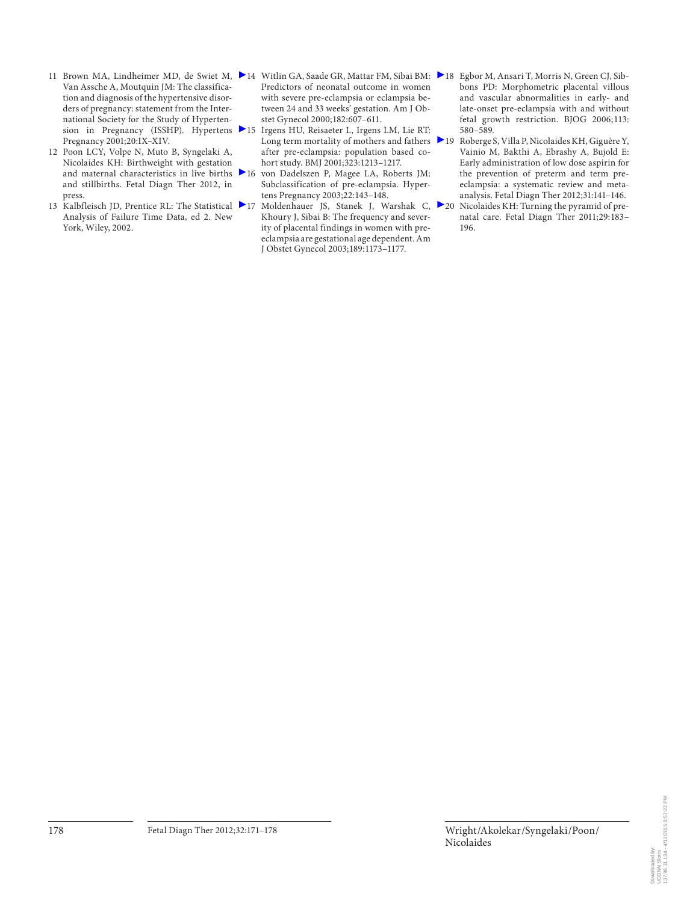- 11 Brown MA, Lindheimer MD, de Swiet M, ▶14 Witlin GA, Saade GR, Mattar FM, Sibai BM: ▶18 Egbor M, Ansari T, Morris N, Green CJ, Sib-Van Assche A, Moutquin JM: The classification and diagnosis of the hypertensive disorders of pregnancy: statement from the International Society for the Study of Hyperten-Pregnancy 2001;20:IX–XIV.
- 12 Poon LCY, Volpe N, Muto B, Syngelaki A, Nicolaides KH: Birthweight with gestation and maternal characteristics in live births  $\geq 16$ and stillbirths. Fetal Diagn Ther 2012, in press.
- 13 Kalbfleisch JD, Prentice RL: The Statistical 217 Analysis of Failure Time Data, ed 2. New York, Wiley, 2002.
- Predictors of neonatal outcome in women with severe pre-eclampsia or eclampsia between 24 and 33 weeks' gestation. Am J Obstet Gynecol 2000;182:607–611.
- sion in Pregnancy (ISSHP). Hypertens 15 Irgens HU, Reisaeter L, Irgens LM, Lie RT: Long term mortality of mothers and fathers  $\blacktriangleright$  19 after pre-eclampsia: population based cohort study. BMJ 2001;323:1213–1217.
	- von Dadelszen P, Magee LA, Roberts JM: Subclassification of pre-eclampsia. Hypertens Pregnancy 2003;22:143–148.
	- Moldenhauer JS, Stanek J, Warshak C, 20 Khoury J, Sibai B: The frequency and severity of placental findings in women with preeclampsia are gestational age dependent. Am J Obstet Gynecol 2003;189:1173–1177.
- bons PD: Morphometric placental villous and vascular abnormalities in early- and late-onset pre-eclampsia with and without fetal growth restriction. BJOG 2006; 113: 580–589.
- Roberge S, Villa P, Nicolaides KH, Giguère Y, Vainio M, Bakthi A, Ebrashy A, Bujold E: Early administration of low dose aspirin for the prevention of preterm and term preeclampsia: a systematic review and metaanalysis. Fetal Diagn Ther 2012;31:141–146.
- Nicolaides KH: Turning the pyramid of prenatal care. Fetal Diagn Ther 2011;29:183– 196.